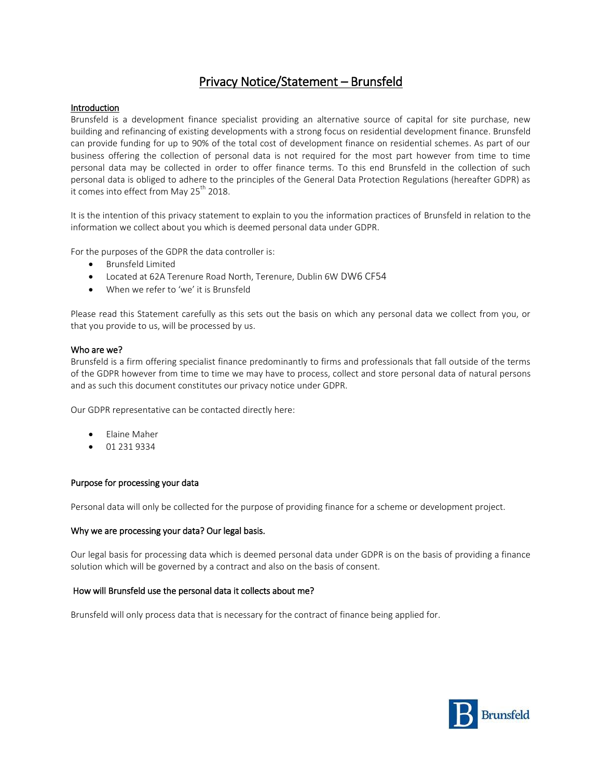# Privacy Notice/Statement – Brunsfeld

# Introduction

Brunsfeld is a development finance specialist providing an alternative source of capital for site purchase, new building and refinancing of existing developments with a strong focus on residential development finance. Brunsfeld can provide funding for up to 90% of the total cost of development finance on residential schemes. As part of our business offering the collection of personal data is not required for the most part however from time to time personal data may be collected in order to offer finance terms. To this end Brunsfeld in the collection of such personal data is obliged to adhere to the principles of the General Data Protection Regulations (hereafter GDPR) as it comes into effect from May  $25<sup>th</sup>$  2018.

It is the intention of this privacy statement to explain to you the information practices of Brunsfeld in relation to the information we collect about you which is deemed personal data under GDPR.

For the purposes of the GDPR the data controller is:

- Brunsfeld Limited
- Located at 62A Terenure Road North, Terenure, Dublin 6W DW6 CF54
- When we refer to 'we' it is Brunsfeld

Please read this Statement carefully as this sets out the basis on which any personal data we collect from you, or that you provide to us, will be processed by us.

#### Who are we?

Brunsfeld is a firm offering specialist finance predominantly to firms and professionals that fall outside of the terms of the GDPR however from time to time we may have to process, collect and store personal data of natural persons and as such this document constitutes our privacy notice under GDPR.

Our GDPR representative can be contacted directly here:

- Elaine Maher
- 01 231 9334

#### Purpose for processing your data

Personal data will only be collected for the purpose of providing finance for a scheme or development project.

#### Why we are processing your data? Our legal basis.

Our legal basis for processing data which is deemed personal data under GDPR is on the basis of providing a finance solution which will be governed by a contract and also on the basis of consent.

#### How will Brunsfeld use the personal data it collects about me?

Brunsfeld will only process data that is necessary for the contract of finance being applied for.

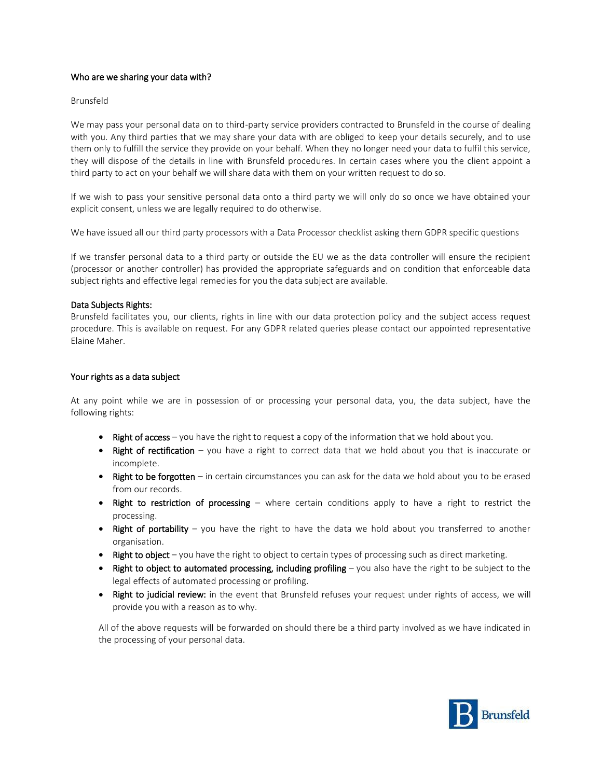## Who are we sharing your data with?

## Brunsfeld

We may pass your personal data on to third-party service providers contracted to Brunsfeld in the course of dealing with you. Any third parties that we may share your data with are obliged to keep your details securely, and to use them only to fulfill the service they provide on your behalf. When they no longer need your data to fulfil this service, they will dispose of the details in line with Brunsfeld procedures. In certain cases where you the client appoint a third party to act on your behalf we will share data with them on your written request to do so.

If we wish to pass your sensitive personal data onto a third party we will only do so once we have obtained your explicit consent, unless we are legally required to do otherwise.

We have issued all our third party processors with a Data Processor checklist asking them GDPR specific questions

If we transfer personal data to a third party or outside the EU we as the data controller will ensure the recipient (processor or another controller) has provided the appropriate safeguards and on condition that enforceable data subject rights and effective legal remedies for you the data subject are available.

# Data Subjects Rights:

Brunsfeld facilitates you, our clients, rights in line with our data protection policy and the subject access request procedure. This is available on request. For any GDPR related queries please contact our appointed representative Elaine Maher.

# Your rights as a data subject

At any point while we are in possession of or processing your personal data, you, the data subject, have the following rights:

- Right of access you have the right to request a copy of the information that we hold about you.
- Right of rectification you have a right to correct data that we hold about you that is inaccurate or incomplete.
- **Right to be forgotten** in certain circumstances you can ask for the data we hold about you to be erased from our records.
- Right to restriction of processing where certain conditions apply to have a right to restrict the processing.
- Right of portability you have the right to have the data we hold about you transferred to another organisation.
- **Right to object** you have the right to object to certain types of processing such as direct marketing.
- **Right to object to automated processing, including profiling** you also have the right to be subject to the legal effects of automated processing or profiling.
- Right to judicial review: in the event that Brunsfeld refuses your request under rights of access, we will provide you with a reason as to why.

All of the above requests will be forwarded on should there be a third party involved as we have indicated in the processing of your personal data.